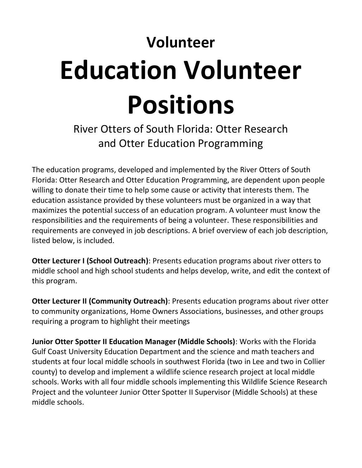## **Volunteer Education Volunteer Positions**

## River Otters of South Florida: Otter Research and Otter Education Programming

The education programs, developed and implemented by the River Otters of South Florida: Otter Research and Otter Education Programming, are dependent upon people willing to donate their time to help some cause or activity that interests them. The education assistance provided by these volunteers must be organized in a way that maximizes the potential success of an education program. A volunteer must know the responsibilities and the requirements of being a volunteer. These responsibilities and requirements are conveyed in job descriptions. A brief overview of each job description, listed below, is included.

**Otter Lecturer I (School Outreach)**: Presents education programs about river otters to middle school and high school students and helps develop, write, and edit the context of this program.

**Otter Lecturer II (Community Outreach)**: Presents education programs about river otter to community organizations, Home Owners Associations, businesses, and other groups requiring a program to highlight their meetings

**Junior Otter Spotter II Education Manager (Middle Schools)**: Works with the Florida Gulf Coast University Education Department and the science and math teachers and students at four local middle schools in southwest Florida (two in Lee and two in Collier county) to develop and implement a wildlife science research project at local middle schools. Works with all four middle schools implementing this Wildlife Science Research Project and the volunteer Junior Otter Spotter II Supervisor (Middle Schools) at these middle schools.